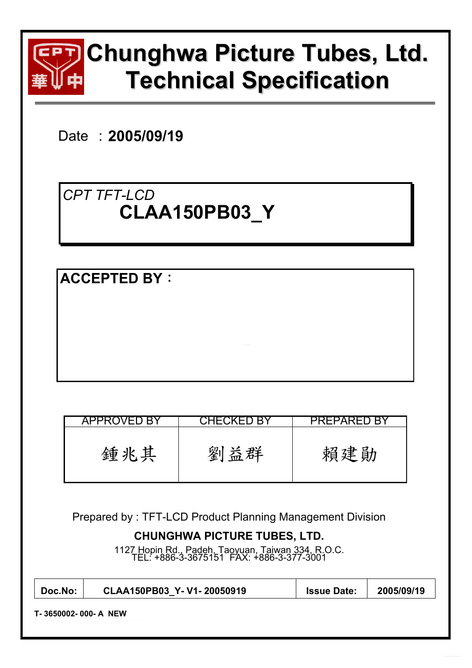

# **Chunghwa Picture Tubes, Ltd. Technical Specification**

Date : **2005/09/19** 

# *CPT TFT-LCD*  **CLAA150PB03\_Y**

**ACCEPTED BY:** 

| APPROVED BY | CHECKED BY | PREPARED BY |
|-------------|------------|-------------|
| 鍾兆其         | 劉益群        | 賴建勛         |

Prepared by : TFT-LCD Product Planning Management Division

## **CHUNGHWA PICTURE TUBES, LTD.**

1127 Hopin Rd., Padeh, Taoyuan, Taiwan 334, R.O.C. TEL: +886-3-3675151 FAX: +886-3-377-3001

| Doc.No:             | CLAA150PB03_Y-V1-20050919 | <b>Issue Date:</b> | 2005/09/19 |  |  |  |  |  |  |
|---------------------|---------------------------|--------------------|------------|--|--|--|--|--|--|
| T-3650002-000-A NEW |                           |                    |            |  |  |  |  |  |  |
|                     |                           |                    |            |  |  |  |  |  |  |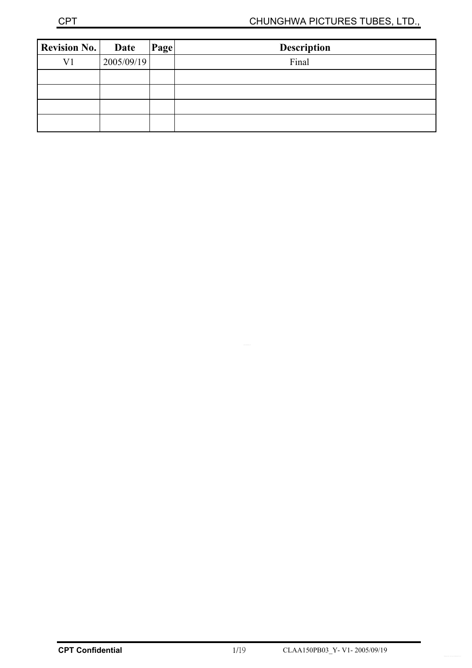| <b>Revision No.</b> | <b>Date</b> | Page | <b>Description</b> |
|---------------------|-------------|------|--------------------|
| V1                  | 2005/09/19  |      | Final              |
|                     |             |      |                    |
|                     |             |      |                    |
|                     |             |      |                    |
|                     |             |      |                    |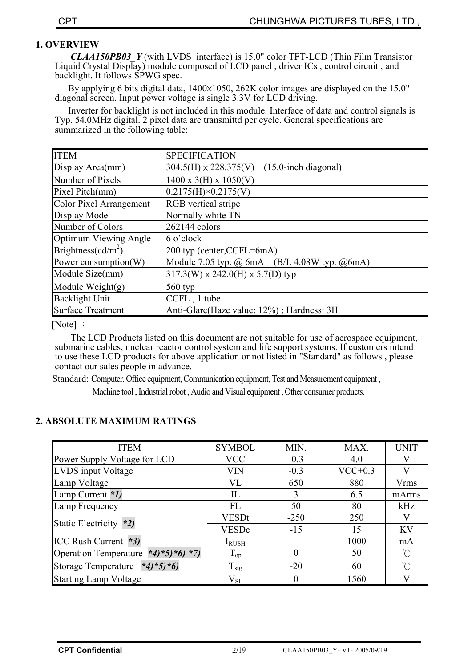#### **1. OVERVIEW**

 *CLAA150PB03\_Y* (with LVDS interface) is 15.0" color TFT-LCD (Thin Film Transistor Liquid Crystal Display) module composed of LCD panel, driver ICs, control circuit, and backlight. It follows SPWG spec.

By applying 6 bits digital data,  $1400\times1050$ ,  $262K$  color images are displayed on the 15.0" diagonal screen. Input power voltage is single 3.3V for LCD driving.

 Inverter for backlight is not included in this module. Interface of data and control signals is Typ. 54.0MHz digital. 2 pixel data are transmittd per cycle. General specifications are summarized in the following table:

| <b>ITEM</b>                    | <b>SPECIFICATION</b>                                 |
|--------------------------------|------------------------------------------------------|
| Display Area(mm)               | $304.5(H) \times 228.375(V)$<br>(15.0-inch diagonal) |
| Number of Pixels               | $1400 \times 3(H) \times 1050(V)$                    |
| Pixel Pitch(mm)                | $0.2175(H) \times 0.2175(V)$                         |
| <b>Color Pixel Arrangement</b> | RGB vertical stripe                                  |
| Display Mode                   | Normally white TN                                    |
| Number of Colors               | 262144 colors                                        |
| <b>Optimum Viewing Angle</b>   | 6 o'clock                                            |
| Brightness(cd/m <sup>2</sup> ) | 200 typ.(center,CCFL=6mA)                            |
| Power consumption(W)           | Module 7.05 typ. @ 6mA (B/L 4.08W typ. @6mA)         |
| Module Size(mm)                | $317.3(W) \times 242.0(H) \times 5.7(D)$ typ         |
| Module Weight(g)               | $560$ typ                                            |
| <b>Backlight Unit</b>          | CCFL, 1 tube                                         |
| <b>Surface Treatment</b>       | Anti-Glare (Haze value: 12%); Hardness: 3H           |

 $[Note] :$ 

The LCD Products listed on this document are not suitable for use of aerospace equipment, submarine cables, nuclear reactor control system and life support systems. If customers intend to use these LCD products for above application or not listed in "Standard" as follows , please contact our sales people in advance.

Standard: Computer, Office equipment, Communication equipment, Test and Measurement equipment ,

Machine tool , Industrial robot , Audio and Visual equipment , Other consumer products.

## **2. ABSOLUTE MAXIMUM RATINGS**

| <b>ITEM</b>                             | <b>SYMBOL</b>    | MIN.     | MAX.      | <b>UNIT</b>     |
|-----------------------------------------|------------------|----------|-----------|-----------------|
| Power Supply Voltage for LCD            | <b>VCC</b>       | $-0.3$   | 4.0       | V               |
| LVDS input Voltage                      | <b>VIN</b>       | $-0.3$   | $VCC+0.3$ | V               |
| Lamp Voltage                            | VL               | 650      | 880       | Vrms            |
| Lamp Current *1)                        | $_{\rm IL}$      | 3        | 6.5       | mArms           |
| Lamp Frequency                          | <b>FL</b>        | 50       | 80        | kHz             |
| Static Electricity *2)                  | <b>VESDt</b>     | $-250$   | 250       | V               |
|                                         | <b>VESDc</b>     | $-15$    | 15        | KV              |
| ICC Rush Current *3)                    | <b>I</b> RUSH    |          | 1000      | mA              |
| Operation Temperature *4)*5)*6) *7)     | $T_{op}$         | $\theta$ | 50        | $^{\circ}$ C    |
| <b>Storage Temperature</b><br>*4)*5)*6) | $T_{\text{stg}}$ | $-20$    | 60        | $\int_0^\infty$ |
| <b>Starting Lamp Voltage</b>            | $\rm V_{SL}$     |          | 1560      | V               |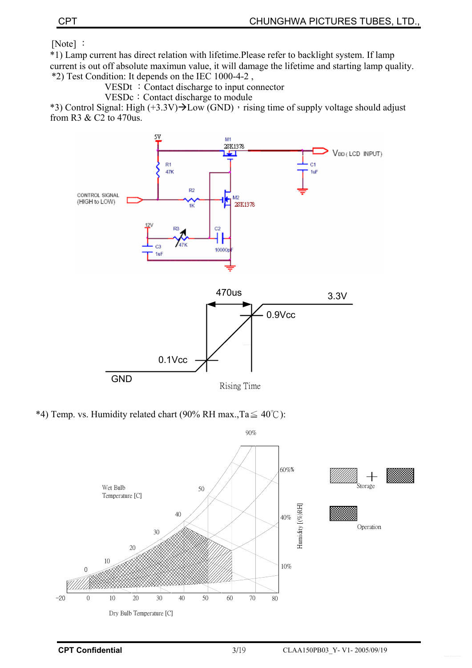$[Note] :$ 

\*1) Lamp current has direct relation with lifetime.Please refer to backlight system. If lamp current is out off absolute maximun value, it will damage the lifetime and starting lamp quality. \*2) Test Condition: It depends on the IEC 1000-4-2 ,

 $VESDt : \dot{C}$  contact discharge to input connector

VESDc: Contact discharge to module

\*3) Control Signal: High  $(+3.3V) \rightarrow$ Low (GND)  $\cdot$  rising time of supply voltage should adjust from R3 & C2 to 470us.



\*4) Temp. vs. Humidity related chart (90% RH max.,  $Ta \leq 40^{\circ}$ C):

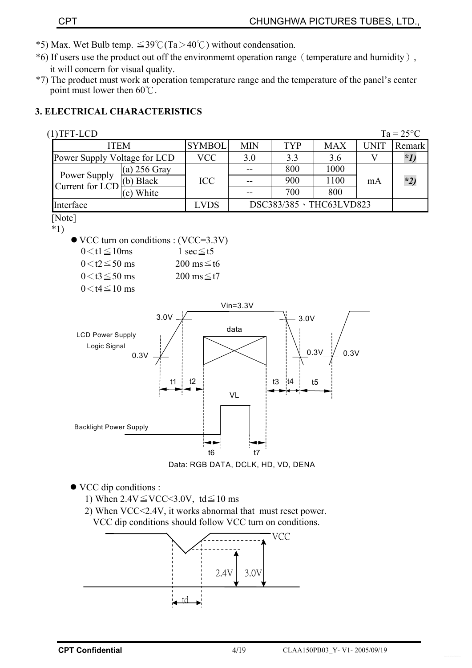- \*5) Max. Wet Bulb temp.  $\leq 39^{\circ}C(Ta > 40^{\circ}C)$  without condensation.
- $*6$ ) If users use the product out off the environmemt operation range (temperature and humidity), it will concern for visual quality.
- \*7) The product must work at operation temperature range and the temperature of the panel's center point must lower then  $60^{\circ}$ C.

## **3. ELECTRICAL CHARACTERISTICS**

| $(1) TFT-LCD$                                                                                                                                             |                                                         |            |            |                         |                         | $Ta = 25^{\circ}C$ |  |
|-----------------------------------------------------------------------------------------------------------------------------------------------------------|---------------------------------------------------------|------------|------------|-------------------------|-------------------------|--------------------|--|
| <b>ITEM</b>                                                                                                                                               | <b>SYMBOL</b>                                           | <b>MIN</b> | <b>TYP</b> | <b>MAX</b>              | <b>UNIT</b>             | Remark             |  |
| Power Supply Voltage for LCD                                                                                                                              | <b>VCC</b>                                              | 3.0        | 3.3        | 3.6                     | $\overline{\mathbf{V}}$ | $*1)$              |  |
| $(a)$ 256 Gray<br>Power Supply                                                                                                                            |                                                         | --         | 800        | 1000                    |                         |                    |  |
| (b) Black<br>Current for LCD                                                                                                                              | <b>ICC</b>                                              | --         | 900        | 1100                    | mA                      | $*2)$              |  |
| (c) White                                                                                                                                                 |                                                         | --         | 700        | 800                     |                         |                    |  |
| Interface                                                                                                                                                 | <b>LVDS</b>                                             |            |            | DSC383/385 \THC63LVD823 |                         |                    |  |
| [Note]<br>$*1)$<br>$\bullet$ VCC turn on conditions : (VCC=3.3V)<br>$0 < t1 \leq 10$ ms<br>$0 < t2 \le 50$ ms<br>$0 < t3 \le 50$ ms<br>$0 < t4 \le 10$ ms | 1 sec $\leq$ t5<br>200 ms $\leq$ t6<br>200 ms $\leq$ t7 |            |            |                         |                         |                    |  |
| $Vin=3.3V$<br>3.0V<br>3.0V<br>data<br><b>LCD Power Supply</b><br>Logic Signal<br>0.3V<br>0.3V<br>0.3V<br>t2<br>$t3$ $ t4$<br>t1<br>t5<br>VL               |                                                         |            |            |                         |                         |                    |  |
| <b>Backlight Power Supply</b>                                                                                                                             | t <sub>6</sub><br>Data: RGB DATA, DCLK, HD, VD, DENA    | t7         |            |                         |                         |                    |  |

- $\bullet$  VCC dip conditions :
	- 1) When  $2.4V \leq VCC \leq 3.0V$ , td $\leq 10$  ms
	- 2) When VCC<2.4V, it works abnormal that must reset power.
		- VCC dip conditions should follow VCC turn on conditions.

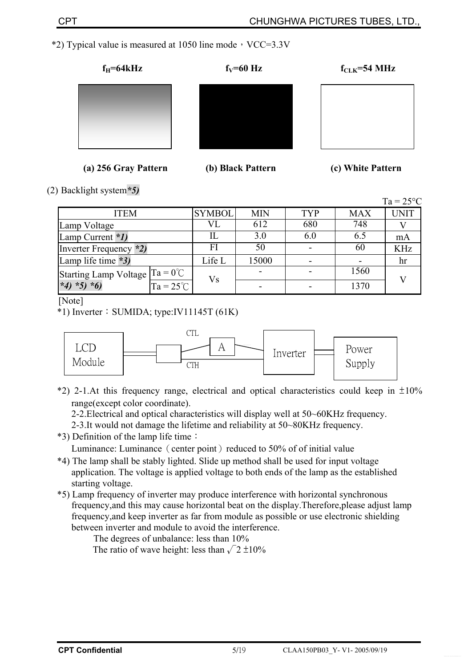\*2) Typical value is measured at 1050 line mode  $\cdot$  VCC=3.3V

| $f_H = 64kHz$        | $f_V = 60$ Hz     | $f_{CLK}$ =54 MHz |
|----------------------|-------------------|-------------------|
|                      |                   |                   |
|                      |                   |                   |
|                      |                   |                   |
| (a) 256 Gray Pattern | (b) Black Pattern | (c) White Pattern |

(2) Backlight system*\*5)* 

|                                                 |               |            |            |            | $Ta = 25^{\circ}C$ |  |
|-------------------------------------------------|---------------|------------|------------|------------|--------------------|--|
| <b>ITEM</b>                                     | <b>SYMBOL</b> | <b>MIN</b> | <b>TYP</b> | <b>MAX</b> | <b>UNIT</b>        |  |
| Lamp Voltage                                    | VI.           | 612        | 680        | 748        |                    |  |
| Lamp Current *1)                                |               | 3.0        | 6.0        | 6.5        | mA                 |  |
| Inverter Frequency *2)                          | FI            | 50         |            | 60         | <b>KHz</b>         |  |
| Lamp life time *3)                              | Life L        | 15000      |            |            | hr                 |  |
| $Ta = 0^{\circ}C$<br>Starting Lamp Voltage      | Vs            |            |            | 1560       | V                  |  |
| $*6)$<br>$*5)$<br>$Ta = 25^{\circ}C$<br>$*_{4}$ |               |            |            | 1370       |                    |  |

[Note]

 $*1)$  Inverter: SUMIDA; type:IV11145T (61K)



\*2) 2-1.At this frequency range, electrical and optical characteristics could keep in  $\pm 10\%$ range(except color coordinate).

2-2.Electrical and optical characteristics will display well at 50~60KHz frequency.

2-3.It would not damage the lifetime and reliability at 50~80KHz frequency.

\*3) Definition of the lamp life time:

Luminance: Luminance (center point) reduced to 50% of of initial value

- \*4) The lamp shall be stably lighted. Slide up method shall be used for input voltage application. The voltage is applied voltage to both ends of the lamp as the established starting voltage.
- \*5) Lamp frequency of inverter may produce interference with horizontal synchronous frequency,and this may cause horizontal beat on the display.Therefore,please adjust lamp frequency,and keep inverter as far from module as possible or use electronic shielding between inverter and module to avoid the interference.

The degrees of unbalance: less than 10% The ratio of wave height: less than  $\sqrt{2} \pm 10\%$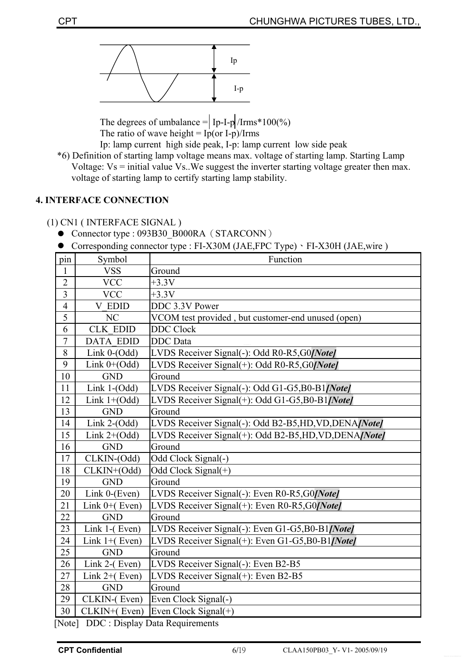

The degrees of umbalance  $=$  Ip-I-p /Irms\*100(%) The ratio of wave height =  $I_{p}^{1}$  (or I-p)/Irms

Ip: lamp current high side peak, I-p: lamp current low side peak

\*6) Definition of starting lamp voltage means max. voltage of starting lamp. Starting Lamp Voltage: Vs = initial value Vs..We suggest the inverter starting voltage greater then max. voltage of starting lamp to certify starting lamp stability.

## **4. INTERFACE CONNECTION**

(1) CN1 ( INTERFACE SIGNAL )

- Connector type : 093B30\_B000RA(STARCONN)
- $\bullet$  Corresponding connector type : FI-X30M (JAE,FPC Type) ⋅ FI-X30H (JAE,wire )

| pin            | Symbol             | Function                                                |
|----------------|--------------------|---------------------------------------------------------|
| $\mathbf{1}$   | <b>VSS</b>         | Ground                                                  |
| $\overline{2}$ | <b>VCC</b>         | $+3.3V$                                                 |
| $\overline{3}$ | <b>VCC</b>         | $+3.3V$                                                 |
| $\overline{4}$ | V EDID             | DDC 3.3V Power                                          |
| 5              | NC                 | VCOM test provided, but customer-end unused (open)      |
| 6              | <b>CLK EDID</b>    | <b>DDC</b> Clock                                        |
| $\overline{7}$ | <b>DATA EDID</b>   | <b>DDC</b> Data                                         |
| 8              | Link $0$ - $(Odd)$ | LVDS Receiver Signal(-): Odd R0-R5, G0[Note]            |
| 9              | Link $0+(Odd)$     | LVDS Receiver Signal(+): Odd R0-R5, G0[Note]            |
| 10             | <b>GND</b>         | Ground                                                  |
| 11             | Link 1-(Odd)       | LVDS Receiver Signal(-): Odd G1-G5,B0-B1[Note]          |
| 12             | Link $1+(Odd)$     | LVDS Receiver Signal(+): Odd G1-G5,B0-B1/Notel          |
| 13             | <b>GND</b>         | Ground                                                  |
| 14             | Link 2-(Odd)       | LVDS Receiver Signal(-): Odd B2-B5, HD, VD, DENA [Note] |
| 15             | Link $2+(Odd)$     | LVDS Receiver Signal(+): Odd B2-B5, HD, VD, DENA [Note] |
| 16             | <b>GND</b>         | Ground                                                  |
| 17             | CLKIN-(Odd)        | Odd Clock Signal(-)                                     |
| 18             | CLKIN+(Odd)        | Odd Clock Signal(+)                                     |
| 19             | <b>GND</b>         | Ground                                                  |
| 20             | Link 0-(Even)      | LVDS Receiver Signal(-): Even R0-R5, G0[Note]           |
| 21             | Link $0+$ (Even)   | LVDS Receiver Signal(+): Even R0-R5,G0[Note]            |
| 22             | <b>GND</b>         | Ground                                                  |
| 23             | Link 1-(Even)      | LVDS Receiver Signal(-): Even G1-G5, B0-B1 [Note]       |
| 24             | Link $1+($ Even)   | LVDS Receiver Signal(+): Even G1-G5, B0-B1 [Note]       |
| 25             | <b>GND</b>         | Ground                                                  |
| 26             | Link $2-($ Even)   | LVDS Receiver Signal(-): Even B2-B5                     |
| $27\,$         | Link $2+($ Even)   | LVDS Receiver Signal(+): Even B2-B5                     |
| 28             | <b>GND</b>         | Ground                                                  |
| 29             | CLKIN-(Even)       | Even Clock Signal(-)                                    |
| 30             | CLKIN+(Even)       | Even Clock Signal $(+)$                                 |

[Note] DDC : Display Data Requirements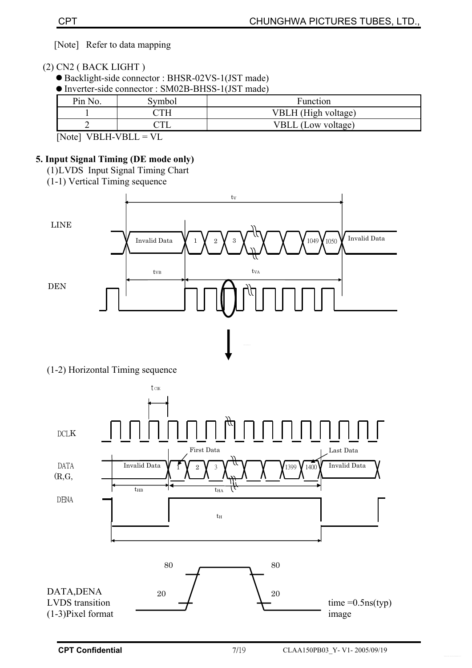[Note] Refer to data mapping

## (2) CN2 ( BACK LIGHT )

● Backlight-side connector : BHSR-02VS-1(JST made)

 $\bullet$  Inverter-side connector : SM02B-BHSS-1(JST made)

| Pin No. | iymbol | Function                  |
|---------|--------|---------------------------|
|         |        | VBLH (High voltage)       |
|         |        | <b>VBLL</b> (Low voltage) |

[Note] VBLH-VBLL = VL

## **5. Input Signal Timing (DE mode only)**

- (1)LVDS Input Signal Timing Chart
- (1-1) Vertical Timing sequence



## (1-2) Horizontal Timing sequence

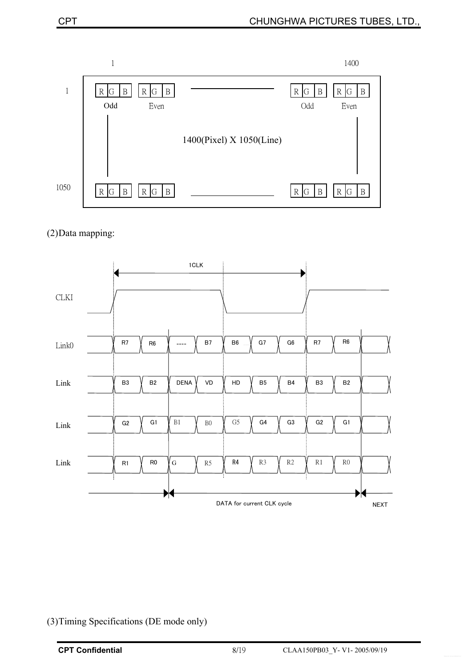

(2)Data mapping:



<sup>(3)</sup>Timing Specifications (DE mode only)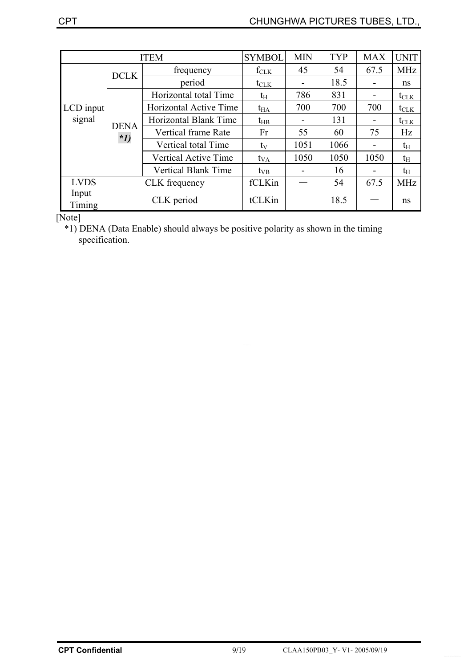|                 |                      | <b>ITEM</b>                 | <b>SYMBOL</b>    | <b>MIN</b> | <b>TYP</b> | <b>MAX</b> | <b>UNIT</b>      |
|-----------------|----------------------|-----------------------------|------------------|------------|------------|------------|------------------|
|                 | <b>DCLK</b>          | frequency                   | $f_{CLK}$        | 45         | 54         | 67.5       | <b>MHz</b>       |
|                 |                      | period                      | $t_{\text{CLK}}$ | -          | 18.5       |            | ns               |
|                 |                      | Horizontal total Time       | t <sub>H</sub>   | 786        | 831        |            | $t_{\text{CLK}}$ |
| LCD input       | <b>DENA</b><br>$*1)$ | Horizontal Active Time      | $t_{HA}$         | 700        | 700        | 700        | $t_{\text{CLK}}$ |
| signal          |                      | Horizontal Blank Time       | $t_{HB}$         |            | 131        |            | $t_{\text{CLK}}$ |
|                 |                      | Vertical frame Rate         | Fr               | 55         | 60         | 75         | Hz               |
|                 |                      | Vertical total Time         | tv               | 1051       | 1066       |            | $t_{\rm H}$      |
|                 |                      | <b>Vertical Active Time</b> | $t_{VA}$         | 1050       | 1050       | 1050       | $t_{\rm H}$      |
|                 |                      | <b>Vertical Blank Time</b>  | $t_{VB}$         |            | 16         |            | $t_{\rm H}$      |
| <b>LVDS</b>     |                      | CLK frequency               | fCLKin           |            | 54         | 67.5       | <b>MHz</b>       |
| Input<br>Timing |                      | CLK period                  | tCLKin           |            | 18.5       |            | ns               |

[Note]

\*1) DENA (Data Enable) should always be positive polarity as shown in the timing specification.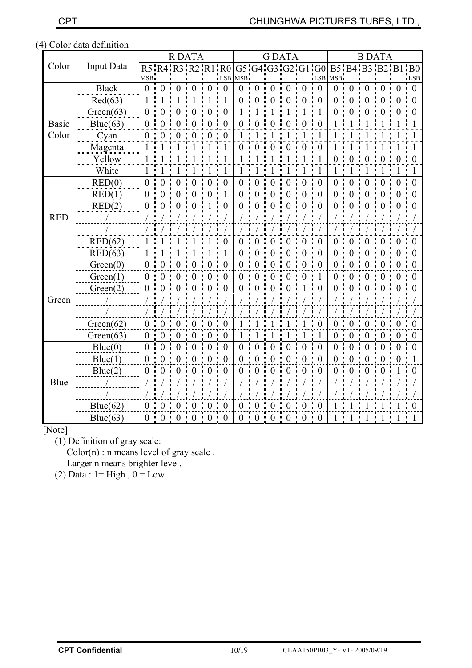## (4) Color data definition

|              |                   |                  |           |          | <b>RDATA</b> |          |                                                               |                |                |   | <b>GDATA</b> |                |                                     |                  |                  |          | <b>B DATA</b> |          |              |
|--------------|-------------------|------------------|-----------|----------|--------------|----------|---------------------------------------------------------------|----------------|----------------|---|--------------|----------------|-------------------------------------|------------------|------------------|----------|---------------|----------|--------------|
| Color        | <b>Input Data</b> |                  |           |          |              |          | $R5$ <sub>R4</sub> $R3$ <sub>R2</sub> $R1$ <sub>R1</sub> $R0$ |                |                |   |              |                | G5:G4:G3:G2:G1:G0 B5:B4:B3:B2:B1:B0 |                  |                  |          |               |          |              |
|              |                   | MSB.             |           |          |              |          | $\overline{\text{LSB}}$                                       | MSB.           |                |   |              |                | $\mathsf{LSB}$                      | MSB.             |                  |          |               |          | <b>LSB</b>   |
|              | <b>Black</b>      | $\overline{0}$   | $\cdot$ 0 | $\theta$ | $\theta$     | $\theta$ | $\cdot$ 0                                                     | 0:0            |                |   | $\theta$     | $\theta$       | $\boldsymbol{0}$                    | $\overline{0}$   | $\theta$         | $\theta$ |               |          | 0            |
|              | Red(63)           |                  |           |          |              |          |                                                               | $\Omega$       |                |   |              |                | 0                                   | $\Omega$         |                  |          |               |          | 0            |
|              | Green(63)         | $\theta$         |           |          |              |          | $\overline{0}$                                                |                |                |   |              |                |                                     | $\overline{0}$   |                  |          |               |          |              |
| <b>Basic</b> | Blue(63)          | $\overline{0}$   |           |          |              |          | $\overline{0}$                                                | $\overline{0}$ |                |   |              | 0              | $\boldsymbol{0}$                    |                  |                  |          |               |          |              |
| Color        | Cyan              | $\theta$         |           |          |              |          | $\theta$                                                      |                |                |   |              |                |                                     |                  |                  |          |               |          |              |
|              | Magenta           |                  |           |          |              |          |                                                               | $\Omega$       |                |   |              |                | $\overline{0}$                      | 1                |                  |          |               |          |              |
|              | Yellow            |                  |           |          |              |          |                                                               |                |                |   |              |                |                                     | $\boldsymbol{0}$ |                  |          |               |          |              |
|              | White             |                  |           |          |              |          |                                                               |                |                |   |              |                |                                     |                  |                  |          |               |          |              |
|              | RED(0)            | $\theta$         | $\Omega$  |          |              | 0        | $\overline{0}$                                                | $\overline{0}$ | 0              | 0 | $\theta$     | 0              | $\overline{0}$                      | $\overline{0}$   | $\theta$         | $\theta$ |               |          | 0            |
|              | RED(1)            | $\overline{0}$   | $\theta$  | $\theta$ | $\Omega$     | 0        |                                                               | $\overline{0}$ |                |   | 0            | 0              | $\boldsymbol{0}$                    | $\overline{0}$   | $\theta$         | $\theta$ |               | 0        | 0            |
|              | RED(2)            | $\theta$         |           |          |              |          | 0                                                             | $\theta$       |                |   |              |                | $\overline{0}$                      | $\theta$         |                  |          |               |          | 0            |
| <b>RED</b>   |                   |                  |           |          |              |          |                                                               |                |                |   |              |                |                                     |                  |                  |          |               |          |              |
|              |                   |                  |           |          |              |          |                                                               |                |                |   |              |                |                                     |                  |                  |          |               |          |              |
|              | RED(62)           |                  |           |          |              |          |                                                               | 0              |                |   |              |                | 0                                   |                  |                  |          |               |          | $\mathbf{0}$ |
|              | RED(63)           |                  |           |          |              |          |                                                               | $\overline{0}$ |                |   | 0            | 0              | $\overline{0}$                      | $\boldsymbol{0}$ | $\left( \right)$ |          |               |          |              |
|              | Green(0)          | $\theta$         | $\theta$  | $\theta$ |              | $\theta$ | $\theta$                                                      | $\theta$       | $\Omega$       |   | $\theta$     | $\theta$       | $\theta$                            | $\overline{0}$   | $\theta$         |          |               |          |              |
|              | Green(1)          | $\theta$         |           |          |              |          | $\theta$                                                      | $\theta$       |                |   |              |                |                                     | $\theta$         |                  |          |               |          | 0            |
|              | Green(2)          | $\boldsymbol{0}$ | 0         |          |              |          | $\overline{0}$                                                | $\overline{0}$ |                |   |              |                | $\overline{0}$                      | $\boldsymbol{0}$ |                  |          |               |          |              |
| Green        |                   |                  |           |          |              |          |                                                               |                |                |   |              |                |                                     |                  |                  |          |               |          |              |
|              |                   |                  |           |          |              |          |                                                               |                |                |   |              |                |                                     |                  |                  |          |               |          |              |
|              | Green(62)         | $\theta$         |           |          |              |          | 0                                                             |                |                |   |              |                | 0                                   |                  |                  |          |               |          |              |
|              | Green(63)         | $\Omega$         |           |          |              |          | 0                                                             |                |                |   |              |                |                                     | $\Omega$         |                  |          |               |          |              |
|              | Blue(0)           | $\theta$         | $\theta$  |          |              | 0        | $\overline{0}$                                                | $\overline{0}$ | $\theta$       | 0 | 0            | 0              | $\overline{0}$                      | $\overline{0}$   | $\overline{0}$   |          |               | $\Omega$ |              |
|              | Blue(1)           | $\boldsymbol{0}$ | $\Omega$  |          |              | 0        | $\boldsymbol{0}$                                              | $\overline{0}$ | $\overline{0}$ |   | $\Omega$     | $\theta$       | $\boldsymbol{0}$                    | $\boldsymbol{0}$ | $\overline{0}$   |          |               |          |              |
|              | Blue(2)           | $\boldsymbol{0}$ |           |          |              |          | $\overline{0}$                                                | $\overline{0}$ |                |   |              | $\overline{0}$ | $\overline{0}$                      | $\overline{0}$   |                  |          |               |          | 0            |
| Blue         |                   |                  |           |          |              |          |                                                               |                |                |   |              |                |                                     |                  |                  |          |               |          |              |
|              |                   |                  |           |          |              |          |                                                               |                |                |   |              |                |                                     |                  |                  |          |               |          |              |
|              | Blue(62)          | $\theta$         |           |          |              |          | 0                                                             |                |                |   |              |                | 0                                   |                  |                  |          |               |          |              |
|              | Blue(63)          | $\boldsymbol{0}$ | 0         |          |              |          | $\theta$                                                      | 0              |                |   |              |                | 0                                   |                  |                  |          |               |          |              |

#### [Note]

(1) Definition of gray scale:

 $Color(n)$ : n means level of gray scale.

Larger n means brighter level.

(2) Data :  $1 =$  High,  $0 =$  Low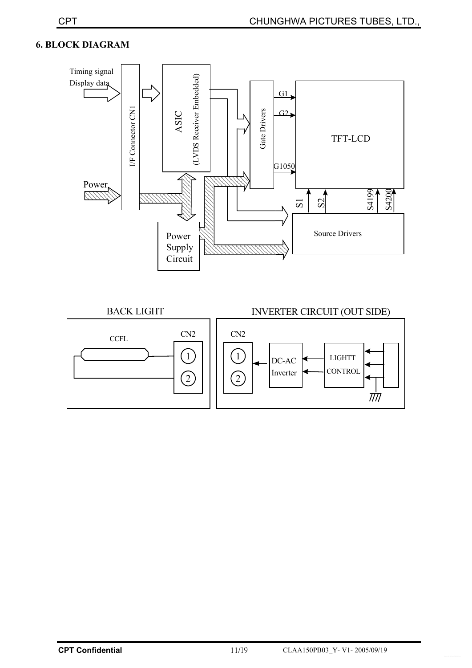## **6. BLOCK DIAGRAM**



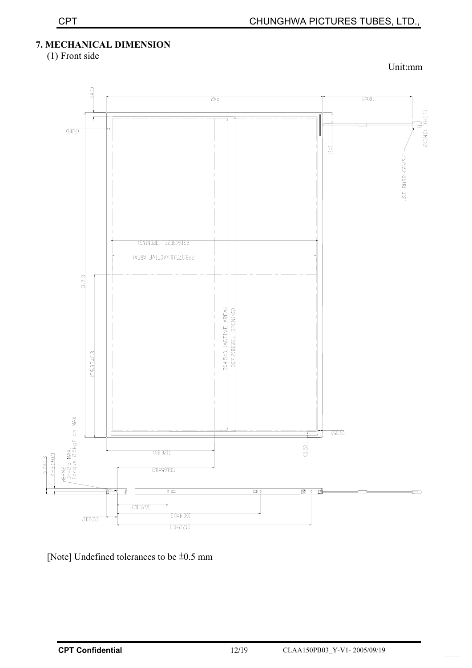## **7. MECHANICAL DIMENSION**

(1) Front side

Unit:mm



[Note] Undefined tolerances to be  $\pm$ 0.5 mm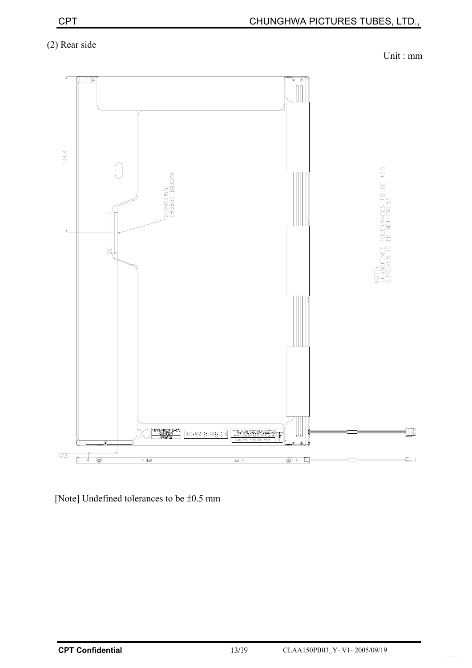## (2) Rear side

Unit : mm



[Note] Undefined tolerances to be  $\pm$ 0.5 mm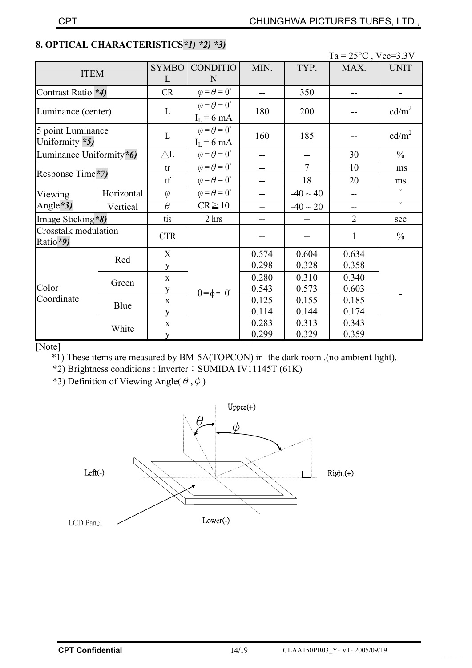|                                     |            |               |                                                |       |                | Ta = $25^{\circ}$ C, Vcc=3.3V |                   |
|-------------------------------------|------------|---------------|------------------------------------------------|-------|----------------|-------------------------------|-------------------|
| <b>ITEM</b>                         |            | <b>SYMBO</b>  | <b>CONDITIO</b>                                | MIN.  | TYP.           | MAX.                          | <b>UNIT</b>       |
|                                     |            | L             | N                                              |       |                |                               |                   |
| Contrast Ratio *4)                  |            | CR            | $\varphi = \theta = 0^{\circ}$                 |       | 350            | --                            |                   |
| Luminance (center)                  |            | $\mathbf{L}$  | $\varphi = \theta = 0^{\circ}$<br>$I_L = 6$ mA | 180   | 200            |                               | cd/m <sup>2</sup> |
| 5 point Luminance<br>Uniformity *5) |            | $\mathbf L$   | $\varphi = \theta = 0^{\circ}$<br>$I_L = 6$ mA | 160   | 185            |                               | cd/m <sup>2</sup> |
| Luminance Uniformity*6)             |            | $\triangle L$ | $\varphi = \theta = 0^{\circ}$                 | --    | --             | 30                            | $\frac{0}{0}$     |
| Response Time*7)                    |            | tr            | $\varphi = \theta = 0^{\circ}$                 |       | $\overline{7}$ | 10                            | ms                |
|                                     |            | tf            | $\varphi = \theta = 0^{\circ}$                 |       | 18             | 20                            | ms                |
| Viewing<br>Angle*3)                 | Horizontal | $\varphi$     | $\varphi = \theta = 0^{\circ}$                 |       | $-40 \sim 40$  | $\overline{a}$                | $\circ$           |
|                                     | Vertical   | $\theta$      | $CR \ge 10$                                    |       | $-40 \sim 20$  | --                            | $\circ$           |
| Image Sticking*8)                   |            | tis           | 2 hrs                                          |       | --             | $\overline{2}$                | sec               |
| Crosstalk modulation<br>Ratio*9)    |            | <b>CTR</b>    |                                                |       |                | 1                             | $\frac{0}{0}$     |
|                                     | Red        | X             | $\theta = \phi = 0^{\circ}$                    | 0.574 | 0.604          | 0.634                         |                   |
| Color<br>Coordinate                 |            | y             |                                                | 0.298 | 0.328          | 0.358                         |                   |
|                                     | Green      | $\mathbf X$   |                                                | 0.280 | 0.310          | 0.340                         |                   |
|                                     |            | V             |                                                | 0.543 | 0.573          | 0.603                         |                   |
|                                     | Blue       | $\mathbf{X}$  |                                                | 0.125 | 0.155          | 0.185                         |                   |
|                                     |            | V             |                                                | 0.114 | 0.144          | 0.174                         |                   |
|                                     | White      | $\mathbf X$   |                                                | 0.283 | 0.313          | 0.343                         |                   |
|                                     |            | y             |                                                | 0.299 | 0.329          | 0.359                         |                   |

## **8. OPTICAL CHARACTERISTICS***\*1) \*2) \*3)*

[Note]

\*1) These items are measured by BM-5A(TOPCON) in the dark room .(no ambient light).

\*2) Brightness conditions : Inverter : SUMIDA IV11145T (61K)

\*3) Definition of Viewing Angle( $\theta$ ,  $\phi$ )

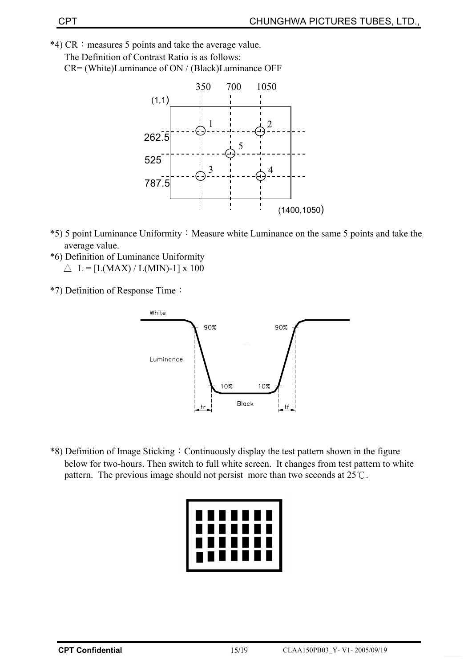\*4) CR : measures 5 points and take the average value. The Definition of Contrast Ratio is as follows:

CR= (White)Luminance of ON / (Black)Luminance OFF



- \*5) 5 point Luminance Uniformity V Measure white Luminance on the same 5 points and take the average value.
- \*6) Definition of Luminance Uniformity  $\triangle L = [L(MAX) / L(MIN)-1] \times 100$
- \*7) Definition of Response Time:



\*8) Definition of Image Sticking : Continuously display the test pattern shown in the figure below for two-hours. Then switch to full white screen. It changes from test pattern to white pattern. The previous image should not persist more than two seconds at  $25^{\circ}$ C.

|                |          |  | .            |   |
|----------------|----------|--|--------------|---|
| $\blacksquare$ | <b>.</b> |  |              | П |
| $\blacksquare$ | <b>.</b> |  |              | П |
|                |          |  | <b>TELEL</b> | П |
| $\blacksquare$ |          |  |              |   |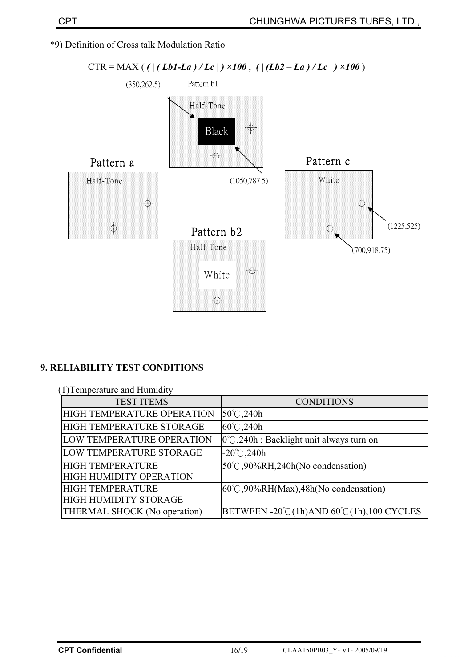## \*9) Definition of Cross talk Modulation Ratio



## **9. RELIABILITY TEST CONDITIONS**

| (1) Temperature and Humidity      |                                                            |
|-----------------------------------|------------------------------------------------------------|
| <b>TEST ITEMS</b>                 | <b>CONDITIONS</b>                                          |
| <b>HIGH TEMPERATURE OPERATION</b> | $50^{\circ}$ C,240h                                        |
| HIGH TEMPERATURE STORAGE          | $60^{\circ}$ C, 240h                                       |
| LOW TEMPERATURE OPERATION         | $ 0^{\circ}C $ , 240h; Backlight unit always turn on       |
| LOW TEMPERATURE STORAGE           | $-20^{\circ}$ C, 240h                                      |
| <b>HIGH TEMPERATURE</b>           | $50^{\circ}$ C, 90%RH, 240h(No condensation)               |
| <b>HIGH HUMIDITY OPERATION</b>    |                                                            |
| <b>HIGH TEMPERATURE</b>           | $ 60^{\circ}$ C,90%RH(Max),48h(No condensation)            |
| <b>HIGH HUMIDITY STORAGE</b>      |                                                            |
| THERMAL SHOCK (No operation)      | $BETWEN - 20^{\circ}C(1h)AND 60^{\circ}C(1h)$ , 100 CYCLES |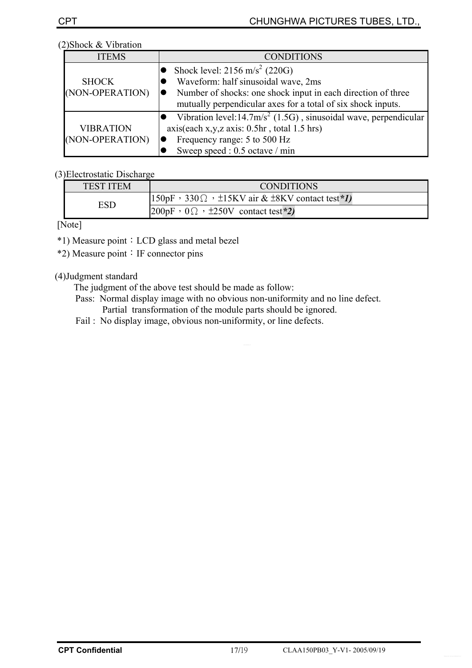#### (2)Shock & Vibration

| <b>ITEMS</b>                        | <b>CONDITIONS</b>                                                                                                                                                                                               |
|-------------------------------------|-----------------------------------------------------------------------------------------------------------------------------------------------------------------------------------------------------------------|
| <b>SHOCK</b><br>(NON-OPERATION)     | Shock level: $2156 \text{ m/s}^2$ (220G)<br>Waveform: half sinusoidal wave, 2ms<br>Number of shocks: one shock input in each direction of three<br>mutually perpendicular axes for a total of six shock inputs. |
| <b>VIBRATION</b><br>(NON-OPERATION) | Vibration level: $14.7 \text{m/s}^2$ (1.5G), sinusoidal wave, perpendicular<br>$axis(each x,y,z axis: 0.5hr, total 1.5 hrs)$<br>Frequency range: 5 to 500 Hz<br>Sweep speed : 0.5 octave / min                  |

## (3)Electrostatic Discharge

| <b>TEST ITEM</b> | <b>CONDITIONS</b>                                                                     |
|------------------|---------------------------------------------------------------------------------------|
| ESD              | $ 150pF \tcdot 330 \Omega \tcdot \t15KV$ air & $\pm 8KV$ contact test <sup>*</sup> 1) |
|                  | $ 200pF \cdot 0 \Omega \cdot \pm 250V$ contact test *2)                               |

[Note]

\*1) Measure point: LCD glass and metal bezel

\*2) Measure point : IF connector pins

## (4)Judgment standard

- The judgment of the above test should be made as follow:
- Pass: Normal display image with no obvious non-uniformity and no line defect. Partial transformation of the module parts should be ignored.
- Fail : No display image, obvious non-uniformity, or line defects.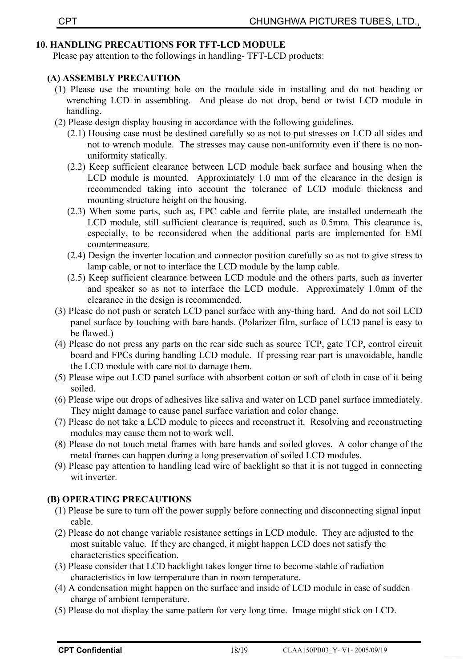### **10. HANDLING PRECAUTIONS FOR TFT-LCD MODULE**

Please pay attention to the followings in handling- TFT-LCD products:

#### **(A) ASSEMBLY PRECAUTION**

- (1) Please use the mounting hole on the module side in installing and do not beading or wrenching LCD in assembling. And please do not drop, bend or twist LCD module in handling.
- (2) Please design display housing in accordance with the following guidelines.
	- (2.1) Housing case must be destined carefully so as not to put stresses on LCD all sides and not to wrench module. The stresses may cause non-uniformity even if there is no nonuniformity statically.
	- (2.2) Keep sufficient clearance between LCD module back surface and housing when the LCD module is mounted. Approximately 1.0 mm of the clearance in the design is recommended taking into account the tolerance of LCD module thickness and mounting structure height on the housing.
	- (2.3) When some parts, such as, FPC cable and ferrite plate, are installed underneath the LCD module, still sufficient clearance is required, such as 0.5mm. This clearance is, especially, to be reconsidered when the additional parts are implemented for EMI countermeasure.
	- (2.4) Design the inverter location and connector position carefully so as not to give stress to lamp cable, or not to interface the LCD module by the lamp cable.
	- (2.5) Keep sufficient clearance between LCD module and the others parts, such as inverter and speaker so as not to interface the LCD module. Approximately 1.0mm of the clearance in the design is recommended.
- (3) Please do not push or scratch LCD panel surface with any-thing hard. And do not soil LCD panel surface by touching with bare hands. (Polarizer film, surface of LCD panel is easy to be flawed.)
- $(4)$  Please do not press any parts on the rear side-such as source TCP, gate TCP, control circuit board and FPCs during handling LCD module. If pressing rear part is unavoidable, handle the LCD module with care not to damage them.
- (5) Please wipe out LCD panel surface with absorbent cotton or soft of cloth in case of it being soiled.
- (6) Please wipe out drops of adhesives like saliva and water on LCD panel surface immediately. They might damage to cause panel surface variation and color change.
- (7) Please do not take a LCD module to pieces and reconstruct it. Resolving and reconstructing modules may cause them not to work well.
- (8) Please do not touch metal frames with bare hands and soiled gloves. A color change of the metal frames can happen during a long preservation of soiled LCD modules.
- (9) Please pay attention to handling lead wire of backlight so that it is not tugged in connecting wit inverter.

## **(B) OPERATING PRECAUTIONS**

- (1) Please be sure to turn off the power supply before connecting and disconnecting signal input cable.
- (2) Please do not change variable resistance settings in LCD module. They are adjusted to the most suitable value. If they are changed, it might happen LCD does not satisfy the characteristics specification.
- (3) Please consider that LCD backlight takes longer time to become stable of radiation characteristics in low temperature than in room temperature.
- (4) A condensation might happen on the surface and inside of LCD module in case of sudden charge of ambient temperature.
- (5) Please do not display the same pattern for very long time. Image might stick on LCD.